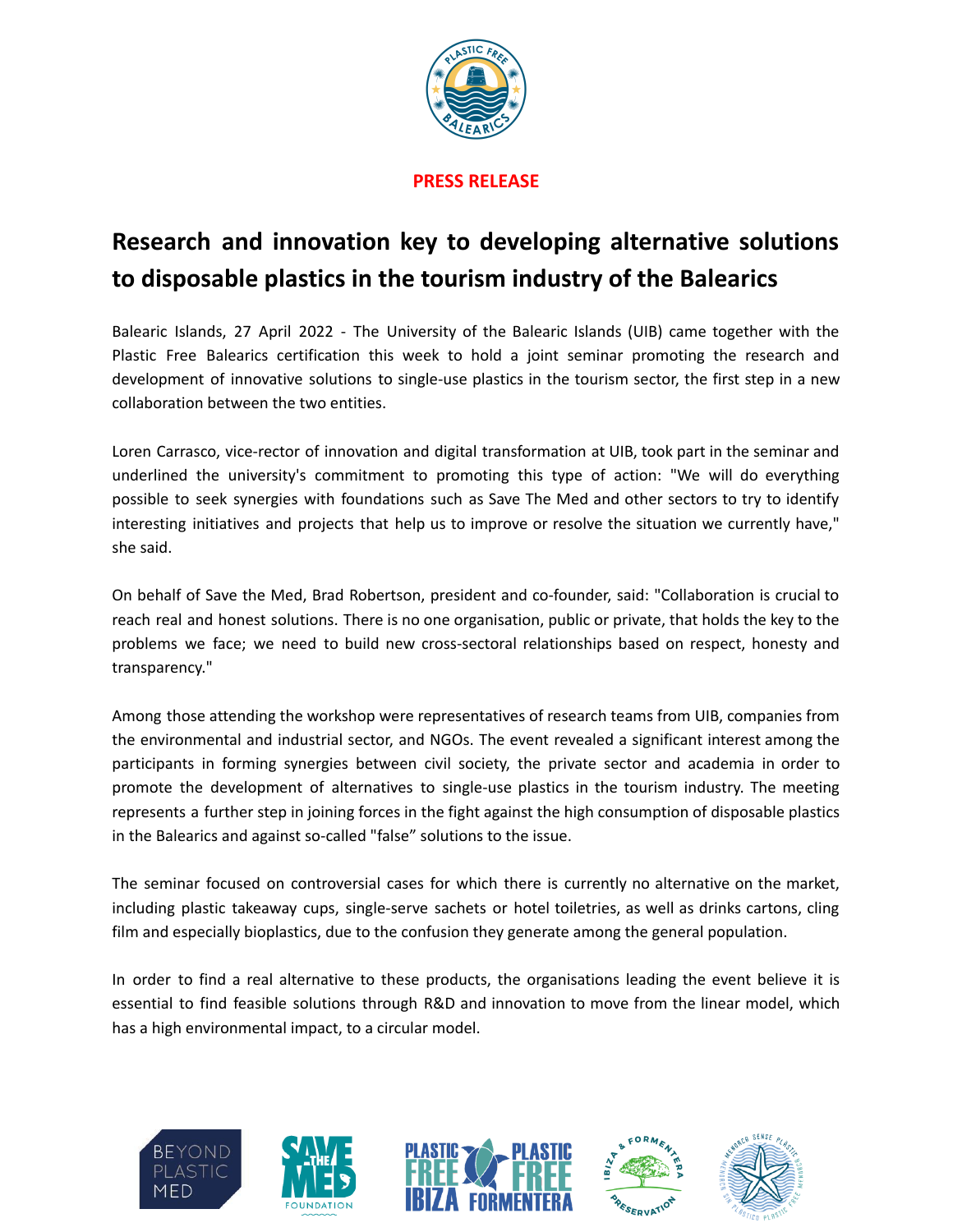

# **PRESS RELEASE**

# **Research and innovation key to developing alternative solutions to disposable plastics in the tourism industry of the Balearics**

Balearic Islands, 27 April 2022 - The University of the Balearic Islands (UIB) came together with the Plastic Free Balearics certification this week to hold a joint seminar promoting the research and development of innovative solutions to single-use plastics in the tourism sector, the first step in a new collaboration between the two entities.

Loren Carrasco, vice-rector of innovation and digital transformation at UIB, took part in the seminar and underlined the university's commitment to promoting this type of action: "We will do everything possible to seek synergies with foundations such as Save The Med and other sectors to try to identify interesting initiatives and projects that help us to improve or resolve the situation we currently have," she said.

On behalf of Save the Med, Brad Robertson, president and co-founder, said: "Collaboration is crucial to reach real and honest solutions. There is no one organisation, public or private, that holds the key to the problems we face; we need to build new cross-sectoral relationships based on respect, honesty and transparency."

Among those attending the workshop were representatives of research teams from UIB, companies from the environmental and industrial sector, and NGOs. The event revealed a significant interest among the participants in forming synergies between civil society, the private sector and academia in order to promote the development of alternatives to single-use plastics in the tourism industry. The meeting represents a further step in joining forces in the fight against the high consumption of disposable plastics in the Balearics and against so-called "false" solutions to the issue.

The seminar focused on controversial cases for which there is currently no alternative on the market, including plastic takeaway cups, single-serve sachets or hotel toiletries, as well as drinks cartons, cling film and especially bioplastics, due to the confusion they generate among the general population.

In order to find a real alternative to these products, the organisations leading the event believe it is essential to find feasible solutions through R&D and innovation to move from the linear model, which has a high environmental impact, to a circular model.